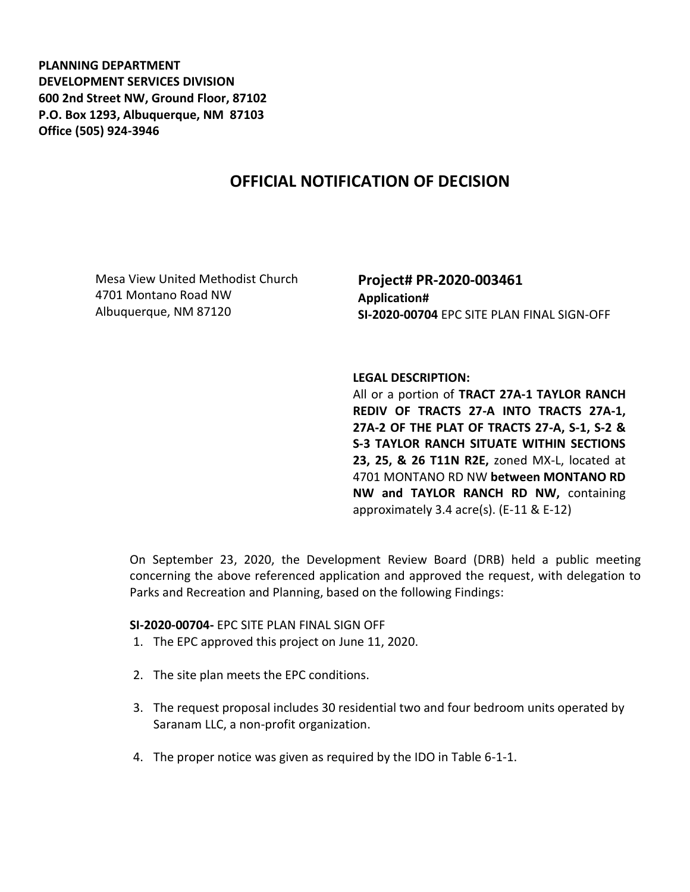**PLANNING DEPARTMENT DEVELOPMENT SERVICES DIVISION 600 2nd Street NW, Ground Floor, 87102 P.O. Box 1293, Albuquerque, NM 87103 Office (505) 924-3946** 

## **OFFICIAL NOTIFICATION OF DECISION**

Mesa View United Methodist Church 4701 Montano Road NW Albuquerque, NM 87120

**Project# PR-2020-003461 Application# SI-2020-00704** EPC SITE PLAN FINAL SIGN-OFF

**LEGAL DESCRIPTION:**

All or a portion of **TRACT 27A-1 TAYLOR RANCH REDIV OF TRACTS 27-A INTO TRACTS 27A-1, 27A-2 OF THE PLAT OF TRACTS 27-A, S-1, S-2 & S-3 TAYLOR RANCH SITUATE WITHIN SECTIONS 23, 25, & 26 T11N R2E,** zoned MX-L, located at 4701 MONTANO RD NW **between MONTANO RD NW and TAYLOR RANCH RD NW,** containing approximately 3.4 acre(s). (E-11 & E-12)

On September 23, 2020, the Development Review Board (DRB) held a public meeting concerning the above referenced application and approved the request, with delegation to Parks and Recreation and Planning, based on the following Findings:

## **SI-2020-00704-** EPC SITE PLAN FINAL SIGN OFF

- 1. The EPC approved this project on June 11, 2020.
- 2. The site plan meets the EPC conditions.
- 3. The request proposal includes 30 residential two and four bedroom units operated by Saranam LLC, a non-profit organization.
- 4. The proper notice was given as required by the IDO in Table 6-1-1.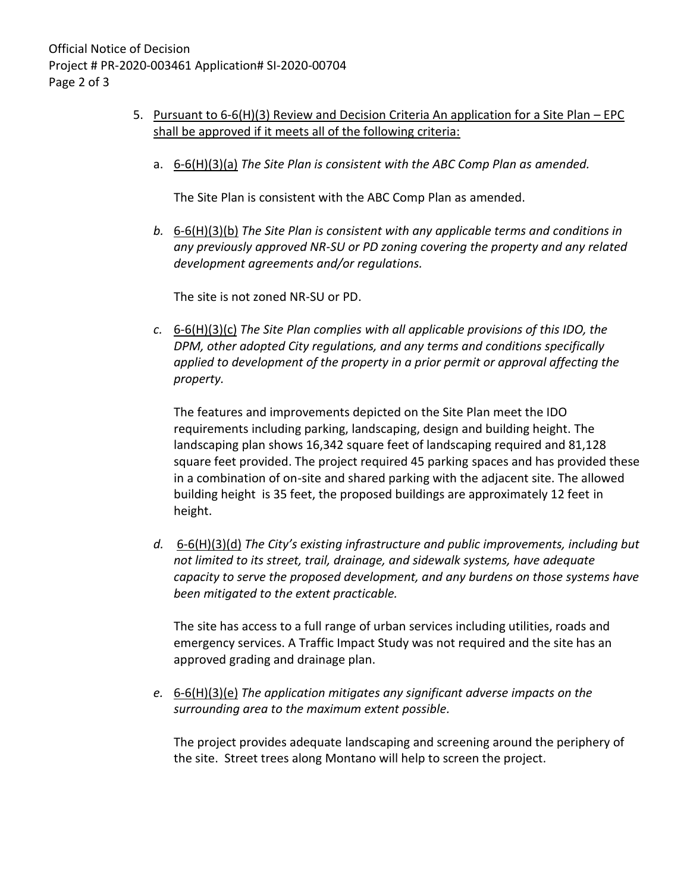- 5. Pursuant to 6-6(H)(3) Review and Decision Criteria An application for a Site Plan EPC shall be approved if it meets all of the following criteria:
	- a. 6-6(H)(3)(a) *The Site Plan is consistent with the ABC Comp Plan as amended.*

The Site Plan is consistent with the ABC Comp Plan as amended.

*b.* 6-6(H)(3)(b) *The Site Plan is consistent with any applicable terms and conditions in any previously approved NR-SU or PD zoning covering the property and any related development agreements and/or regulations.* 

The site is not zoned NR-SU or PD.

*c.* 6-6(H)(3)(c) *The Site Plan complies with all applicable provisions of this IDO, the DPM, other adopted City regulations, and any terms and conditions specifically applied to development of the property in a prior permit or approval affecting the property.* 

The features and improvements depicted on the Site Plan meet the IDO requirements including parking, landscaping, design and building height. The landscaping plan shows 16,342 square feet of landscaping required and 81,128 square feet provided. The project required 45 parking spaces and has provided these in a combination of on-site and shared parking with the adjacent site. The allowed building height is 35 feet, the proposed buildings are approximately 12 feet in height.

*d.* 6-6(H)(3)(d) *The City's existing infrastructure and public improvements, including but not limited to its street, trail, drainage, and sidewalk systems, have adequate capacity to serve the proposed development, and any burdens on those systems have been mitigated to the extent practicable.* 

The site has access to a full range of urban services including utilities, roads and emergency services. A Traffic Impact Study was not required and the site has an approved grading and drainage plan.

*e.* 6-6(H)(3)(e) *The application mitigates any significant adverse impacts on the surrounding area to the maximum extent possible.* 

The project provides adequate landscaping and screening around the periphery of the site. Street trees along Montano will help to screen the project.